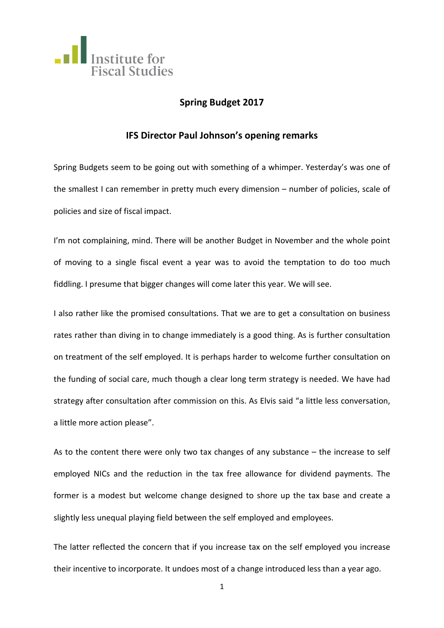

# **Spring Budget 2017**

# **IFS Director Paul Johnson's opening remarks**

Spring Budgets seem to be going out with something of a whimper. Yesterday's was one of the smallest I can remember in pretty much every dimension – number of policies, scale of policies and size of fiscal impact.

I'm not complaining, mind. There will be another Budget in November and the whole point of moving to a single fiscal event a year was to avoid the temptation to do too much fiddling. I presume that bigger changes will come later this year. We will see.

I also rather like the promised consultations. That we are to get a consultation on business rates rather than diving in to change immediately is a good thing. As is further consultation on treatment of the self employed. It is perhaps harder to welcome further consultation on the funding of social care, much though a clear long term strategy is needed. We have had strategy after consultation after commission on this. As Elvis said "a little less conversation, a little more action please".

As to the content there were only two tax changes of any substance – the increase to self employed NICs and the reduction in the tax free allowance for dividend payments. The former is a modest but welcome change designed to shore up the tax base and create a slightly less unequal playing field between the self employed and employees.

The latter reflected the concern that if you increase tax on the self employed you increase their incentive to incorporate. It undoes most of a change introduced less than a year ago.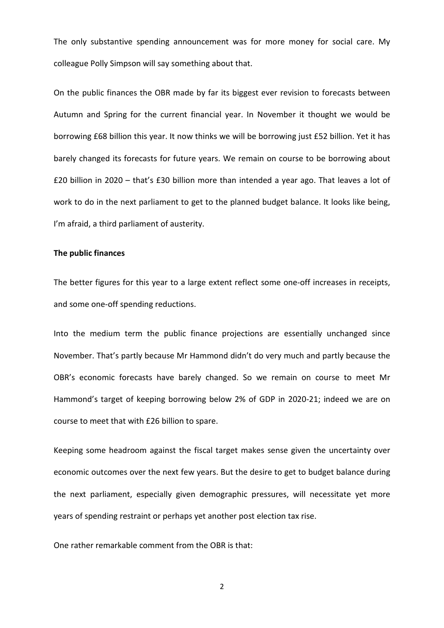The only substantive spending announcement was for more money for social care. My colleague Polly Simpson will say something about that.

On the public finances the OBR made by far its biggest ever revision to forecasts between Autumn and Spring for the current financial year. In November it thought we would be borrowing £68 billion this year. It now thinks we will be borrowing just £52 billion. Yet it has barely changed its forecasts for future years. We remain on course to be borrowing about £20 billion in 2020 – that's £30 billion more than intended a year ago. That leaves a lot of work to do in the next parliament to get to the planned budget balance. It looks like being, I'm afraid, a third parliament of austerity.

#### **The public finances**

The better figures for this year to a large extent reflect some one-off increases in receipts, and some one-off spending reductions.

Into the medium term the public finance projections are essentially unchanged since November. That's partly because Mr Hammond didn't do very much and partly because the OBR's economic forecasts have barely changed. So we remain on course to meet Mr Hammond's target of keeping borrowing below 2% of GDP in 2020-21; indeed we are on course to meet that with £26 billion to spare.

Keeping some headroom against the fiscal target makes sense given the uncertainty over economic outcomes over the next few years. But the desire to get to budget balance during the next parliament, especially given demographic pressures, will necessitate yet more years of spending restraint or perhaps yet another post election tax rise.

One rather remarkable comment from the OBR is that: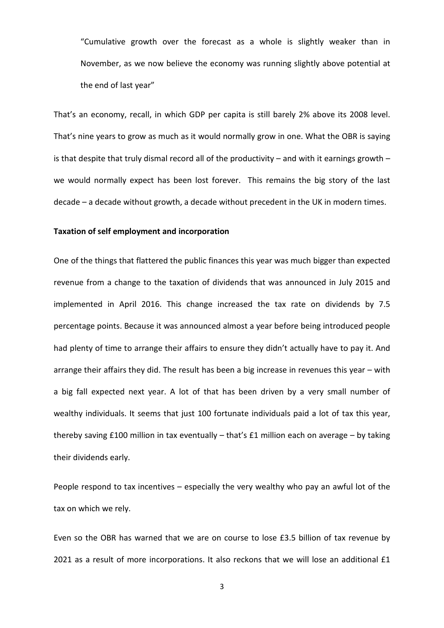"Cumulative growth over the forecast as a whole is slightly weaker than in November, as we now believe the economy was running slightly above potential at the end of last year"

That's an economy, recall, in which GDP per capita is still barely 2% above its 2008 level. That's nine years to grow as much as it would normally grow in one. What the OBR is saying is that despite that truly dismal record all of the productivity  $-$  and with it earnings growth  $$ we would normally expect has been lost forever. This remains the big story of the last decade – a decade without growth, a decade without precedent in the UK in modern times.

## **Taxation of self employment and incorporation**

One of the things that flattered the public finances this year was much bigger than expected revenue from a change to the taxation of dividends that was announced in July 2015 and implemented in April 2016. This change increased the tax rate on dividends by 7.5 percentage points. Because it was announced almost a year before being introduced people had plenty of time to arrange their affairs to ensure they didn't actually have to pay it. And arrange their affairs they did. The result has been a big increase in revenues this year – with a big fall expected next year. A lot of that has been driven by a very small number of wealthy individuals. It seems that just 100 fortunate individuals paid a lot of tax this year, thereby saving £100 million in tax eventually – that's £1 million each on average – by taking their dividends early.

People respond to tax incentives – especially the very wealthy who pay an awful lot of the tax on which we rely.

Even so the OBR has warned that we are on course to lose £3.5 billion of tax revenue by 2021 as a result of more incorporations. It also reckons that we will lose an additional £1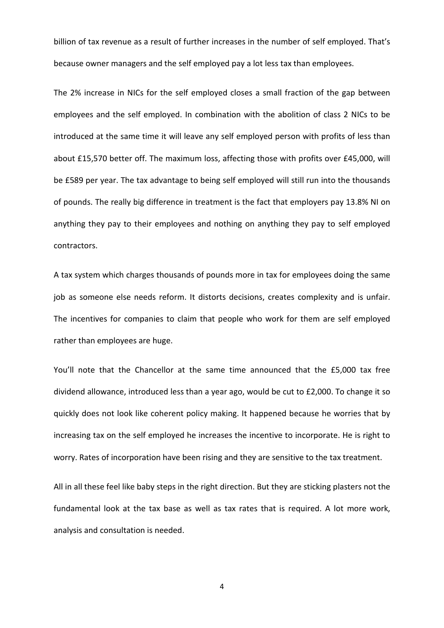billion of tax revenue as a result of further increases in the number of self employed. That's because owner managers and the self employed pay a lot less tax than employees.

The 2% increase in NICs for the self employed closes a small fraction of the gap between employees and the self employed. In combination with the abolition of class 2 NICs to be introduced at the same time it will leave any self employed person with profits of less than about £15,570 better off. The maximum loss, affecting those with profits over £45,000, will be £589 per year. The tax advantage to being self employed will still run into the thousands of pounds. The really big difference in treatment is the fact that employers pay 13.8% NI on anything they pay to their employees and nothing on anything they pay to self employed contractors.

A tax system which charges thousands of pounds more in tax for employees doing the same job as someone else needs reform. It distorts decisions, creates complexity and is unfair. The incentives for companies to claim that people who work for them are self employed rather than employees are huge.

You'll note that the Chancellor at the same time announced that the £5,000 tax free dividend allowance, introduced less than a year ago, would be cut to £2,000. To change it so quickly does not look like coherent policy making. It happened because he worries that by increasing tax on the self employed he increases the incentive to incorporate. He is right to worry. Rates of incorporation have been rising and they are sensitive to the tax treatment.

All in all these feel like baby steps in the right direction. But they are sticking plasters not the fundamental look at the tax base as well as tax rates that is required. A lot more work, analysis and consultation is needed.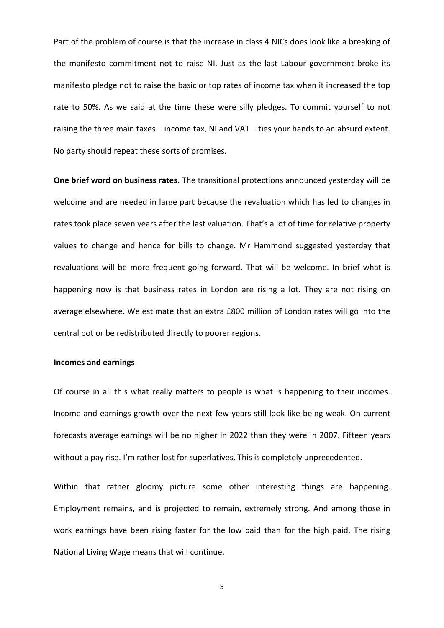Part of the problem of course is that the increase in class 4 NICs does look like a breaking of the manifesto commitment not to raise NI. Just as the last Labour government broke its manifesto pledge not to raise the basic or top rates of income tax when it increased the top rate to 50%. As we said at the time these were silly pledges. To commit yourself to not raising the three main taxes – income tax, NI and VAT – ties your hands to an absurd extent. No party should repeat these sorts of promises.

**One brief word on business rates.** The transitional protections announced yesterday will be welcome and are needed in large part because the revaluation which has led to changes in rates took place seven years after the last valuation. That's a lot of time for relative property values to change and hence for bills to change. Mr Hammond suggested yesterday that revaluations will be more frequent going forward. That will be welcome. In brief what is happening now is that business rates in London are rising a lot. They are not rising on average elsewhere. We estimate that an extra £800 million of London rates will go into the central pot or be redistributed directly to poorer regions.

## **Incomes and earnings**

Of course in all this what really matters to people is what is happening to their incomes. Income and earnings growth over the next few years still look like being weak. On current forecasts average earnings will be no higher in 2022 than they were in 2007. Fifteen years without a pay rise. I'm rather lost for superlatives. This is completely unprecedented.

Within that rather gloomy picture some other interesting things are happening. Employment remains, and is projected to remain, extremely strong. And among those in work earnings have been rising faster for the low paid than for the high paid. The rising National Living Wage means that will continue.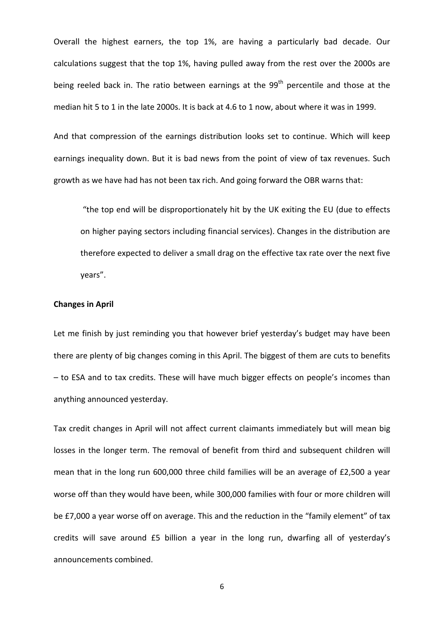Overall the highest earners, the top 1%, are having a particularly bad decade. Our calculations suggest that the top 1%, having pulled away from the rest over the 2000s are being reeled back in. The ratio between earnings at the  $99<sup>th</sup>$  percentile and those at the median hit 5 to 1 in the late 2000s. It is back at 4.6 to 1 now, about where it was in 1999.

And that compression of the earnings distribution looks set to continue. Which will keep earnings inequality down. But it is bad news from the point of view of tax revenues. Such growth as we have had has not been tax rich. And going forward the OBR warns that:

"the top end will be disproportionately hit by the UK exiting the EU (due to effects on higher paying sectors including financial services). Changes in the distribution are therefore expected to deliver a small drag on the effective tax rate over the next five years".

### **Changes in April**

Let me finish by just reminding you that however brief yesterday's budget may have been there are plenty of big changes coming in this April. The biggest of them are cuts to benefits – to ESA and to tax credits. These will have much bigger effects on people's incomes than anything announced yesterday.

Tax credit changes in April will not affect current claimants immediately but will mean big losses in the longer term. The removal of benefit from third and subsequent children will mean that in the long run 600,000 three child families will be an average of £2,500 a year worse off than they would have been, while 300,000 families with four or more children will be £7,000 a year worse off on average. This and the reduction in the "family element" of tax credits will save around £5 billion a year in the long run, dwarfing all of yesterday's announcements combined.